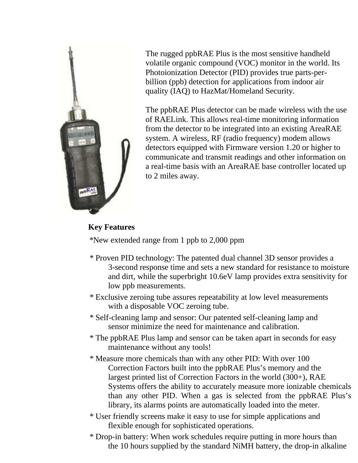

The rugged ppbRAE Plus is the most sensitive handheld volatile organic compound (VOC) monitor in the world. Its Photoionization Detector (PID) provides true parts-perbillion (ppb) detection for applications from indoor air quality (IAQ) to HazMat/Homeland Security.

The ppbRAE Plus detector can be made wireless with the use of RAELink. This allows real-time monitoring information from the detector to be integrated into an existing AreaRAE system. A wireless, RF (radio frequency) modem allows detectors equipped with Firmware version 1.20 or higher to communicate and transmit readings and other information on a real-time basis with an AreaRAE base controller located up to 2 miles away.

# **Key Features**

\*New extended range from 1 ppb to 2,000 ppm

- \* Proven PID technology: The patented dual channel 3D sensor provides a 3-second response time and sets a new standard for resistance to moisture and dirt, while the superbright 10.6eV lamp provides extra sensitivity for low ppb measurements.
- \* Exclusive zeroing tube assures repeatability at low level measurements with a disposable VOC zeroing tube.
- \* Self-cleaning lamp and sensor: Our patented self-cleaning lamp and sensor minimize the need for maintenance and calibration.
- \* The ppbRAE Plus lamp and sensor can be taken apart in seconds for easy maintenance without any tools!
- \* Measure more chemicals than with any other PID: With over 100 Correction Factors built into the ppbRAE Plus's memory and the largest printed list of Correction Factors in the world (300+), RAE Systems offers the ability to accurately measure more ionizable chemicals than any other PID. When a gas is selected from the ppbRAE Plus's library, its alarms points are automatically loaded into the meter.

\* User friendly screens make it easy to use for simple applications and flexible enough for sophisticated operations.

\* Drop-in battery: When work schedules require putting in more hours than the 10 hours supplied by the standard NiMH battery, the drop-in alkaline